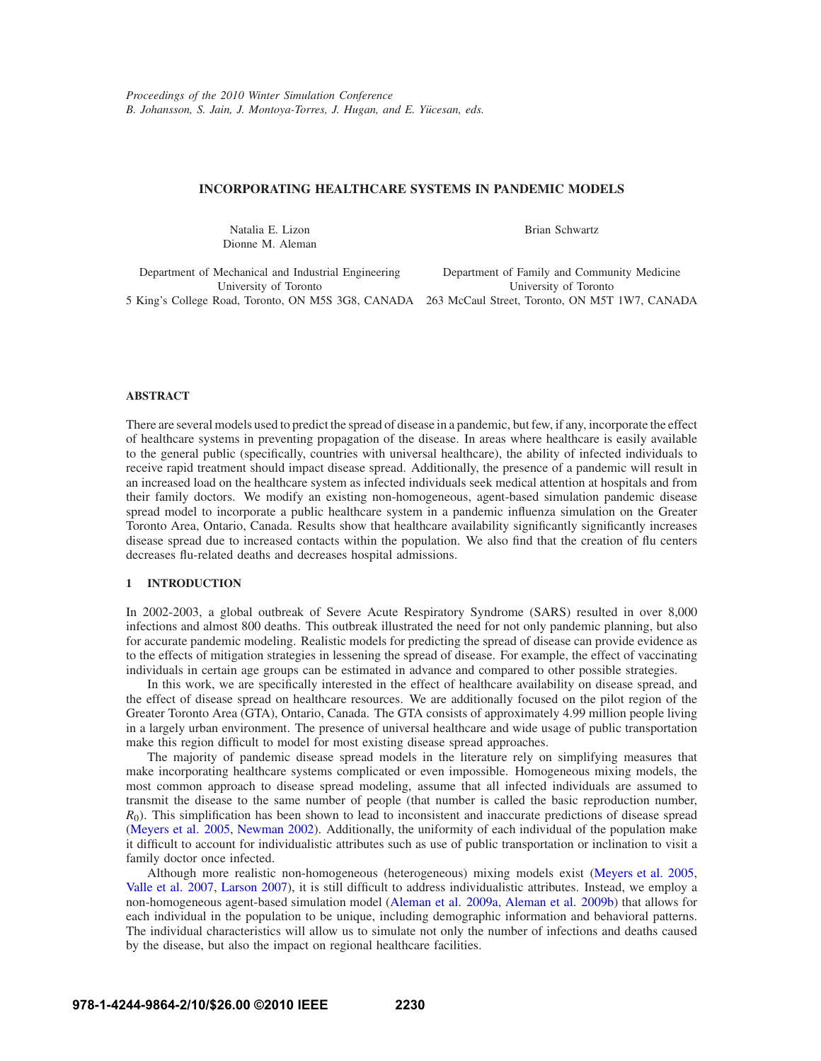### **INCORPORATING HEALTHCARE SYSTEMS IN PANDEMIC MODELS**

Natalia E. Lizon Dionne M. Aleman Brian Schwartz

Department of Mechanical and Industrial Engineering University of Toronto

5 King's College Road, Toronto, ON M5S 3G8, CANADA 263 McCaul Street, Toronto, ON M5T 1W7, CANADA Department of Family and Community Medicine University of Toronto

# **ABSTRACT**

There are several models used to predict the spread of disease in a pandemic, but few, if any, incorporate the effect of healthcare systems in preventing propagation of the disease. In areas where healthcare is easily available to the general public (specifically, countries with universal healthcare), the ability of infected individuals to receive rapid treatment should impact disease spread. Additionally, the presence of a pandemic will result in an increased load on the healthcare system as infected individuals seek medical attention at hospitals and from their family doctors. We modify an existing non-homogeneous, agent-based simulation pandemic disease spread model to incorporate a public healthcare system in a pandemic influenza simulation on the Greater Toronto Area, Ontario, Canada. Results show that healthcare availability significantly significantly increases disease spread due to increased contacts within the population. We also find that the creation of flu centers decreases flu-related deaths and decreases hospital admissions.

# **1 INTRODUCTION**

In 2002-2003, a global outbreak of Severe Acute Respiratory Syndrome (SARS) resulted in over 8,000 infections and almost 800 deaths. This outbreak illustrated the need for not only pandemic planning, but also for accurate pandemic modeling. Realistic models for predicting the spread of disease can provide evidence as to the effects of mitigation strategies in lessening the spread of disease. For example, the effect of vaccinating individuals in certain age groups can be estimated in advance and compared to other possible strategies.

In this work, we are specifically interested in the effect of healthcare availability on disease spread, and the effect of disease spread on healthcare resources. We are additionally focused on the pilot region of the Greater Toronto Area (GTA), Ontario, Canada. The GTA consists of approximately 4.99 million people living in a largely urban environment. The presence of universal healthcare and wide usage of public transportation make this region difficult to model for most existing disease spread approaches.

The majority of pandemic disease spread models in the literature rely on simplifying measures that make incorporating healthcare systems complicated or even impossible. Homogeneous mixing models, the most common approach to disease spread modeling, assume that all infected individuals are assumed to transmit the disease to the same number of people (that number is called the basic reproduction number, *R*0). This simplification has been shown to lead to inconsistent and inaccurate predictions of disease spread (Meyers et al. 2005, Newman 2002). Additionally, the uniformity of each individual of the population make it difficult to account for individualistic attributes such as use of public transportation or inclination to visit a family doctor once infected.

Although more realistic non-homogeneous (heterogeneous) mixing models exist (Meyers et al. 2005, Valle et al. 2007, Larson 2007), it is still difficult to address individualistic attributes. Instead, we employ a non-homogeneous agent-based simulation model (Aleman et al. 2009a, Aleman et al. 2009b) that allows for each individual in the population to be unique, including demographic information and behavioral patterns. The individual characteristics will allow us to simulate not only the number of infections and deaths caused by the disease, but also the impact on regional healthcare facilities.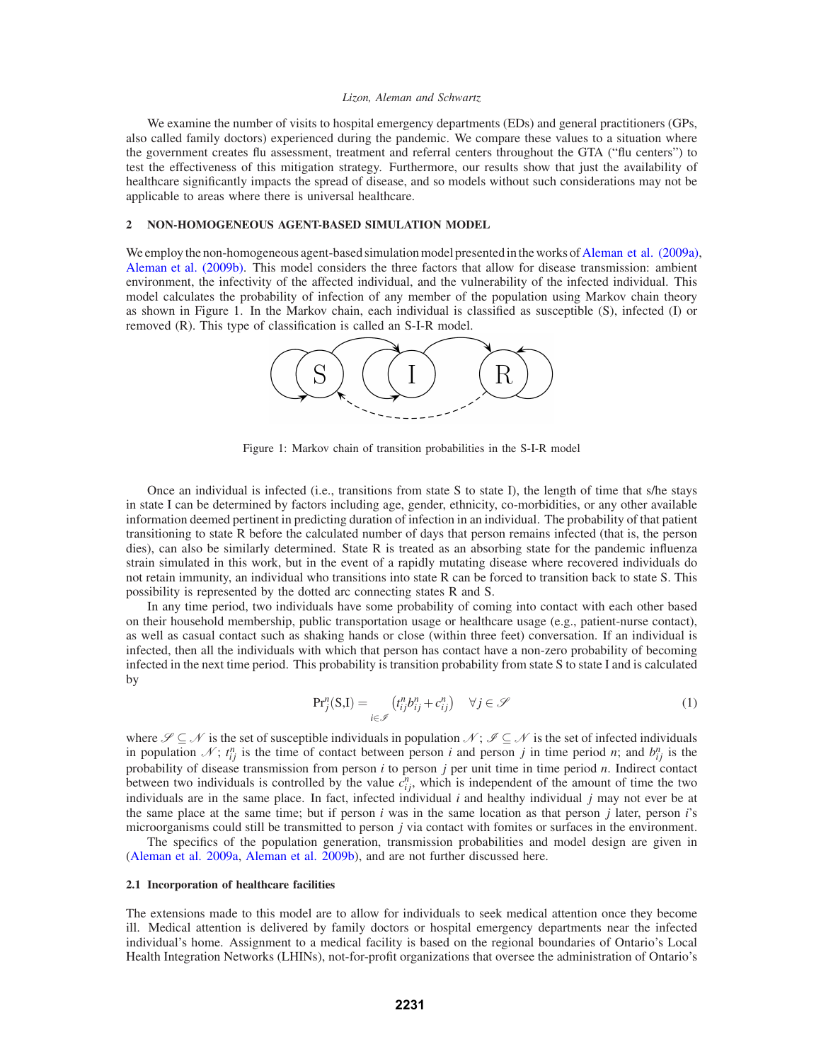We examine the number of visits to hospital emergency departments (EDs) and general practitioners (GPs, also called family doctors) experienced during the pandemic. We compare these values to a situation where the government creates flu assessment, treatment and referral centers throughout the GTA ("flu centers") to test the effectiveness of this mitigation strategy. Furthermore, our results show that just the availability of healthcare significantly impacts the spread of disease, and so models without such considerations may not be applicable to areas where there is universal healthcare.

# **2 NON-HOMOGENEOUS AGENT-BASED SIMULATION MODEL**

We employ the non-homogeneous agent-based simulation model presented in the works of Aleman et al. (2009a), Aleman et al. (2009b). This model considers the three factors that allow for disease transmission: ambient environment, the infectivity of the affected individual, and the vulnerability of the infected individual. This model calculates the probability of infection of any member of the population using Markov chain theory as shown in Figure 1. In the Markov chain, each individual is classified as susceptible (S), infected (I) or removed (R). This type of classification is called an S-I-R model.



Figure 1: Markov chain of transition probabilities in the S-I-R model

Once an individual is infected (i.e., transitions from state S to state I), the length of time that s/he stays in state I can be determined by factors including age, gender, ethnicity, co-morbidities, or any other available information deemed pertinent in predicting duration of infection in an individual. The probability of that patient transitioning to state R before the calculated number of days that person remains infected (that is, the person dies), can also be similarly determined. State R is treated as an absorbing state for the pandemic influenza strain simulated in this work, but in the event of a rapidly mutating disease where recovered individuals do not retain immunity, an individual who transitions into state R can be forced to transition back to state S. This possibility is represented by the dotted arc connecting states R and S.

In any time period, two individuals have some probability of coming into contact with each other based on their household membership, public transportation usage or healthcare usage (e.g., patient-nurse contact), as well as casual contact such as shaking hands or close (within three feet) conversation. If an individual is infected, then all the individuals with which that person has contact have a non-zero probability of becoming infected in the next time period. This probability is transition probability from state S to state I and is calculated by

$$
\Pr_j^n(S,I) = \sum_{i \in \mathcal{I}} \left( t_{ij}^n b_{ij}^n + c_{ij}^n \right) \quad \forall j \in \mathcal{I}
$$
\n<sup>(1)</sup>

where  $\mathscr{S} \subseteq \mathscr{N}$  is the set of susceptible individuals in population  $\mathscr{N}; \mathscr{I} \subseteq \mathscr{N}$  is the set of infected individuals in population  $\mathcal{N}$ ;  $t_{ij}^n$  is the time of contact between person *i* and person *j* in time period *n*; and  $b_{ij}^n$  is the probability of disease transmission from person *i* to person *j* per unit time in time period *n*. Indirect contact between two individuals is controlled by the value  $c_{ij}^n$ , which is independent of the amount of time the two individuals are in the same place. In fact, infected individual *i* and healthy individual *j* may not ever be at the same place at the same time; but if person *i* was in the same location as that person *j* later, person *i*'s microorganisms could still be transmitted to person *j* via contact with fomites or surfaces in the environment.

The specifics of the population generation, transmission probabilities and model design are given in (Aleman et al. 2009a, Aleman et al. 2009b), and are not further discussed here.

### **2.1 Incorporation of healthcare facilities**

The extensions made to this model are to allow for individuals to seek medical attention once they become ill. Medical attention is delivered by family doctors or hospital emergency departments near the infected individual's home. Assignment to a medical facility is based on the regional boundaries of Ontario's Local Health Integration Networks (LHINs), not-for-profit organizations that oversee the administration of Ontario's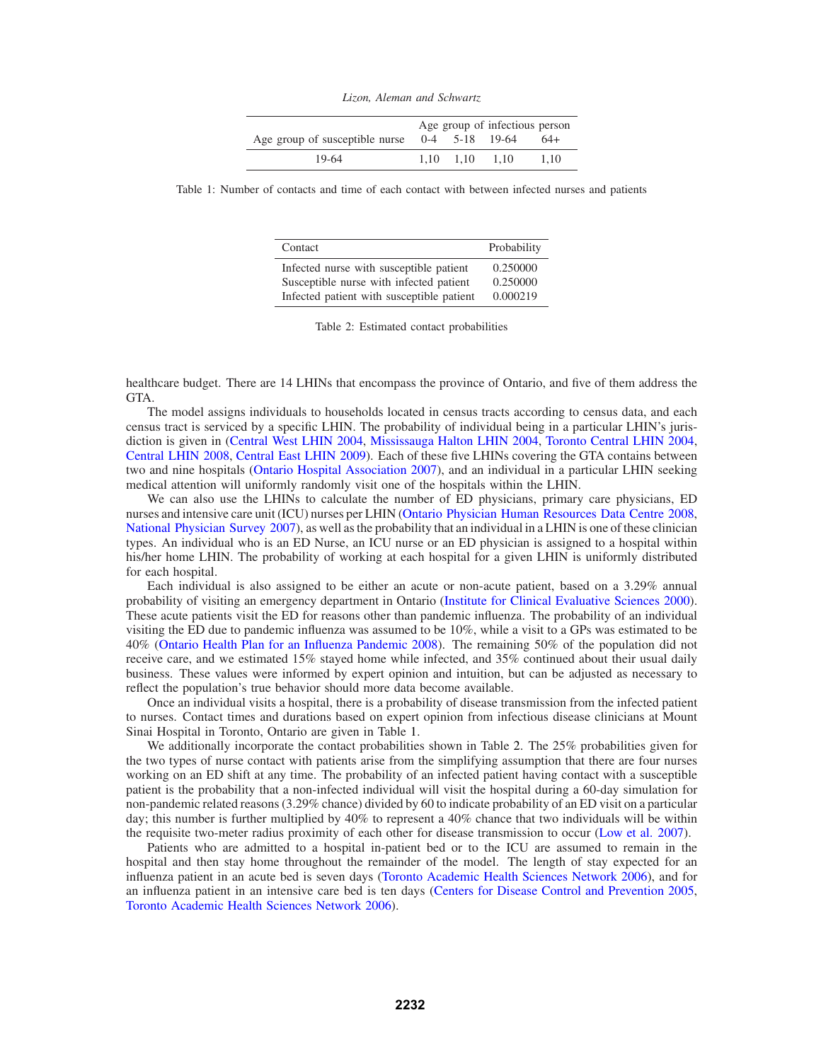|  |  |  | Lizon, Aleman and Schwartz |
|--|--|--|----------------------------|
|--|--|--|----------------------------|

|                                | Age group of infectious person |                   |                  |       |
|--------------------------------|--------------------------------|-------------------|------------------|-------|
| Age group of susceptible nurse |                                |                   | $0-4$ 5-18 19-64 | $64+$ |
| 19-64                          |                                | $1.10 \quad 1.10$ | 1.10             | 1.10  |

Table 1: Number of contacts and time of each contact with between infected nurses and patients

| Contact                                   | Probability |
|-------------------------------------------|-------------|
| Infected nurse with susceptible patient   | 0.250000    |
| Susceptible nurse with infected patient   | 0.250000    |
| Infected patient with susceptible patient | 0.000219    |

Table 2: Estimated contact probabilities

healthcare budget. There are 14 LHINs that encompass the province of Ontario, and five of them address the GTA.

The model assigns individuals to households located in census tracts according to census data, and each census tract is serviced by a specific LHIN. The probability of individual being in a particular LHIN's jurisdiction is given in (Central West LHIN 2004, Mississauga Halton LHIN 2004, Toronto Central LHIN 2004, Central LHIN 2008, Central East LHIN 2009). Each of these five LHINs covering the GTA contains between two and nine hospitals (Ontario Hospital Association 2007), and an individual in a particular LHIN seeking medical attention will uniformly randomly visit one of the hospitals within the LHIN.

We can also use the LHINs to calculate the number of ED physicians, primary care physicians, ED nurses and intensive care unit (ICU) nurses per LHIN (Ontario Physician Human Resources Data Centre 2008, National Physician Survey 2007), as well as the probability that an individual in a LHIN is one of these clinician types. An individual who is an ED Nurse, an ICU nurse or an ED physician is assigned to a hospital within his/her home LHIN. The probability of working at each hospital for a given LHIN is uniformly distributed for each hospital.

Each individual is also assigned to be either an acute or non-acute patient, based on a 3.29% annual probability of visiting an emergency department in Ontario (Institute for Clinical Evaluative Sciences 2000). These acute patients visit the ED for reasons other than pandemic influenza. The probability of an individual visiting the ED due to pandemic influenza was assumed to be 10%, while a visit to a GPs was estimated to be 40% (Ontario Health Plan for an Influenza Pandemic 2008). The remaining 50% of the population did not receive care, and we estimated 15% stayed home while infected, and 35% continued about their usual daily business. These values were informed by expert opinion and intuition, but can be adjusted as necessary to reflect the population's true behavior should more data become available.

Once an individual visits a hospital, there is a probability of disease transmission from the infected patient to nurses. Contact times and durations based on expert opinion from infectious disease clinicians at Mount Sinai Hospital in Toronto, Ontario are given in Table 1.

We additionally incorporate the contact probabilities shown in Table 2. The 25% probabilities given for the two types of nurse contact with patients arise from the simplifying assumption that there are four nurses working on an ED shift at any time. The probability of an infected patient having contact with a susceptible patient is the probability that a non-infected individual will visit the hospital during a 60-day simulation for non-pandemic related reasons (3.29% chance) divided by 60 to indicate probability of an ED visit on a particular day; this number is further multiplied by 40% to represent a 40% chance that two individuals will be within the requisite two-meter radius proximity of each other for disease transmission to occur (Low et al. 2007).

Patients who are admitted to a hospital in-patient bed or to the ICU are assumed to remain in the hospital and then stay home throughout the remainder of the model. The length of stay expected for an influenza patient in an acute bed is seven days (Toronto Academic Health Sciences Network 2006), and for an influenza patient in an intensive care bed is ten days (Centers for Disease Control and Prevention 2005, Toronto Academic Health Sciences Network 2006).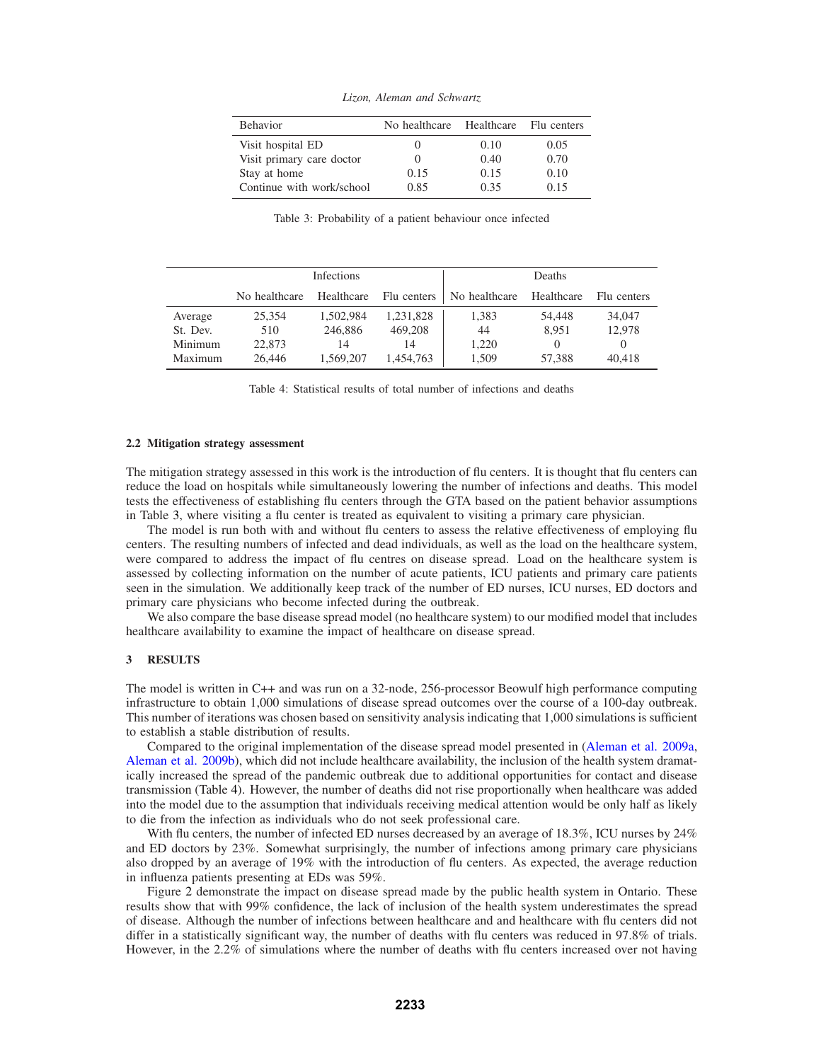| <b>Behavior</b>           | No healthcare | Healthcare | Flu centers |  |
|---------------------------|---------------|------------|-------------|--|
| Visit hospital ED         |               | 0.10       | 0.05        |  |
| Visit primary care doctor |               | 0.40       | 0.70        |  |
| Stay at home              | 0.15          | 0.15       | 0.10        |  |
| Continue with work/school | 0.85          | 0.35       | 0.15        |  |

*Lizon, Aleman and Schwartz*

Table 3: Probability of a patient behaviour once infected

|          |               | <b>Infections</b> |             | Deaths        |            |             |  |
|----------|---------------|-------------------|-------------|---------------|------------|-------------|--|
|          | No healthcare | Healthcare        | Flu centers | No healthcare | Healthcare | Flu centers |  |
| Average  | 25,354        | 1,502,984         | 1,231,828   | 1,383         | 54,448     | 34,047      |  |
| St. Dev. | 510           | 246,886           | 469,208     | 44            | 8.951      | 12.978      |  |
| Minimum  | 22,873        | 14                | 14          | 1.220         | $\theta$   | $\theta$    |  |
| Maximum  | 26,446        | 1,569,207         | 1,454,763   | 1,509         | 57,388     | 40.418      |  |

|  |  |  |  |  |  |  | Table 4: Statistical results of total number of infections and deaths |  |  |
|--|--|--|--|--|--|--|-----------------------------------------------------------------------|--|--|
|--|--|--|--|--|--|--|-----------------------------------------------------------------------|--|--|

#### **2.2 Mitigation strategy assessment**

The mitigation strategy assessed in this work is the introduction of flu centers. It is thought that flu centers can reduce the load on hospitals while simultaneously lowering the number of infections and deaths. This model tests the effectiveness of establishing flu centers through the GTA based on the patient behavior assumptions in Table 3, where visiting a flu center is treated as equivalent to visiting a primary care physician.

The model is run both with and without flu centers to assess the relative effectiveness of employing flu centers. The resulting numbers of infected and dead individuals, as well as the load on the healthcare system, were compared to address the impact of flu centres on disease spread. Load on the healthcare system is assessed by collecting information on the number of acute patients, ICU patients and primary care patients seen in the simulation. We additionally keep track of the number of ED nurses, ICU nurses, ED doctors and primary care physicians who become infected during the outbreak.

We also compare the base disease spread model (no healthcare system) to our modified model that includes healthcare availability to examine the impact of healthcare on disease spread.

## **3 RESULTS**

The model is written in C++ and was run on a 32-node, 256-processor Beowulf high performance computing infrastructure to obtain 1,000 simulations of disease spread outcomes over the course of a 100-day outbreak. This number of iterations was chosen based on sensitivity analysis indicating that 1,000 simulations is sufficient to establish a stable distribution of results.

Compared to the original implementation of the disease spread model presented in (Aleman et al. 2009a, Aleman et al. 2009b), which did not include healthcare availability, the inclusion of the health system dramatically increased the spread of the pandemic outbreak due to additional opportunities for contact and disease transmission (Table 4). However, the number of deaths did not rise proportionally when healthcare was added into the model due to the assumption that individuals receiving medical attention would be only half as likely to die from the infection as individuals who do not seek professional care.

With flu centers, the number of infected ED nurses decreased by an average of 18.3%, ICU nurses by 24% and ED doctors by 23%. Somewhat surprisingly, the number of infections among primary care physicians also dropped by an average of 19% with the introduction of flu centers. As expected, the average reduction in influenza patients presenting at EDs was 59%.

Figure 2 demonstrate the impact on disease spread made by the public health system in Ontario. These results show that with 99% confidence, the lack of inclusion of the health system underestimates the spread of disease. Although the number of infections between healthcare and and healthcare with flu centers did not differ in a statistically significant way, the number of deaths with flu centers was reduced in 97.8% of trials. However, in the 2.2% of simulations where the number of deaths with flu centers increased over not having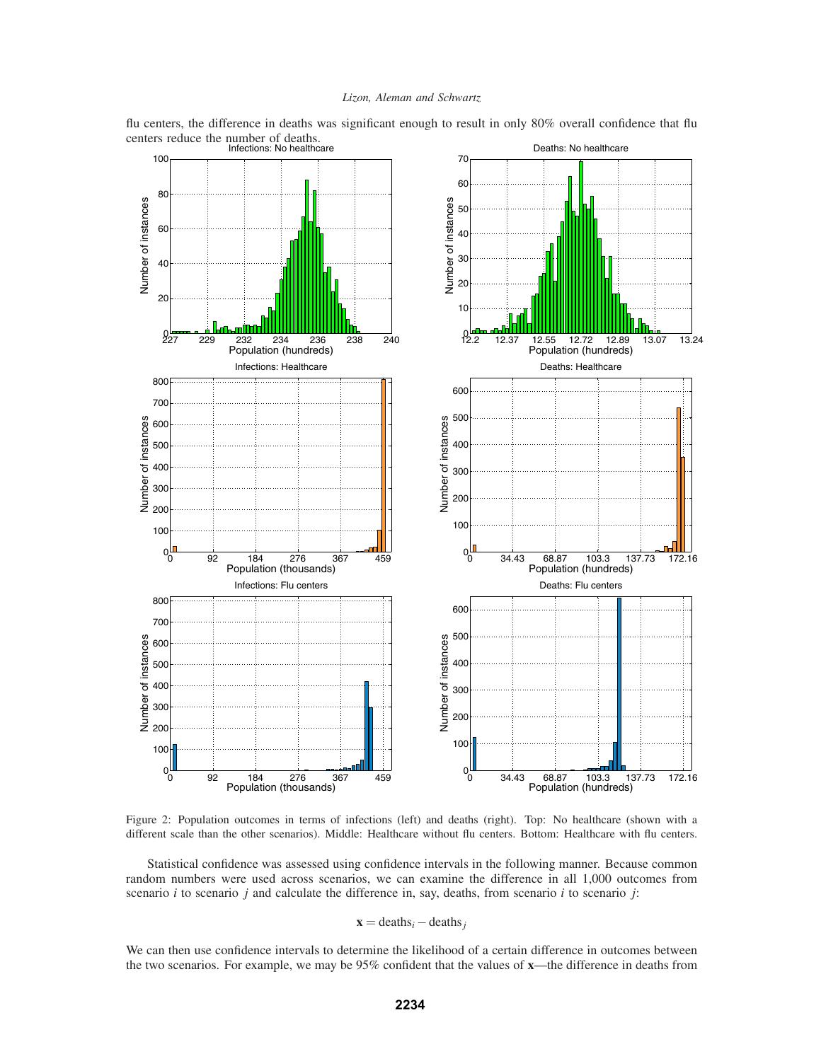

flu centers, the difference in deaths was significant enough to result in only 80% overall confidence that flu centers reduce the number of deaths.

Figure 2: Population outcomes in terms of infections (left) and deaths (right). Top: No healthcare (shown with a different scale than the other scenarios). Middle: Healthcare without flu centers. Bottom: Healthcare with flu centers.

Statistical confidence was assessed using confidence intervals in the following manner. Because common random numbers were used across scenarios, we can examine the difference in all 1,000 outcomes from scenario *i* to scenario *j* and calculate the difference in, say, deaths, from scenario *i* to scenario *j*:

# $\mathbf{x} =$  deaths<sub>*i*</sub> – deaths<sub>*i*</sub>

We can then use confidence intervals to determine the likelihood of a certain difference in outcomes between the two scenarios. For example, we may be 95% confident that the values of **x**—the difference in deaths from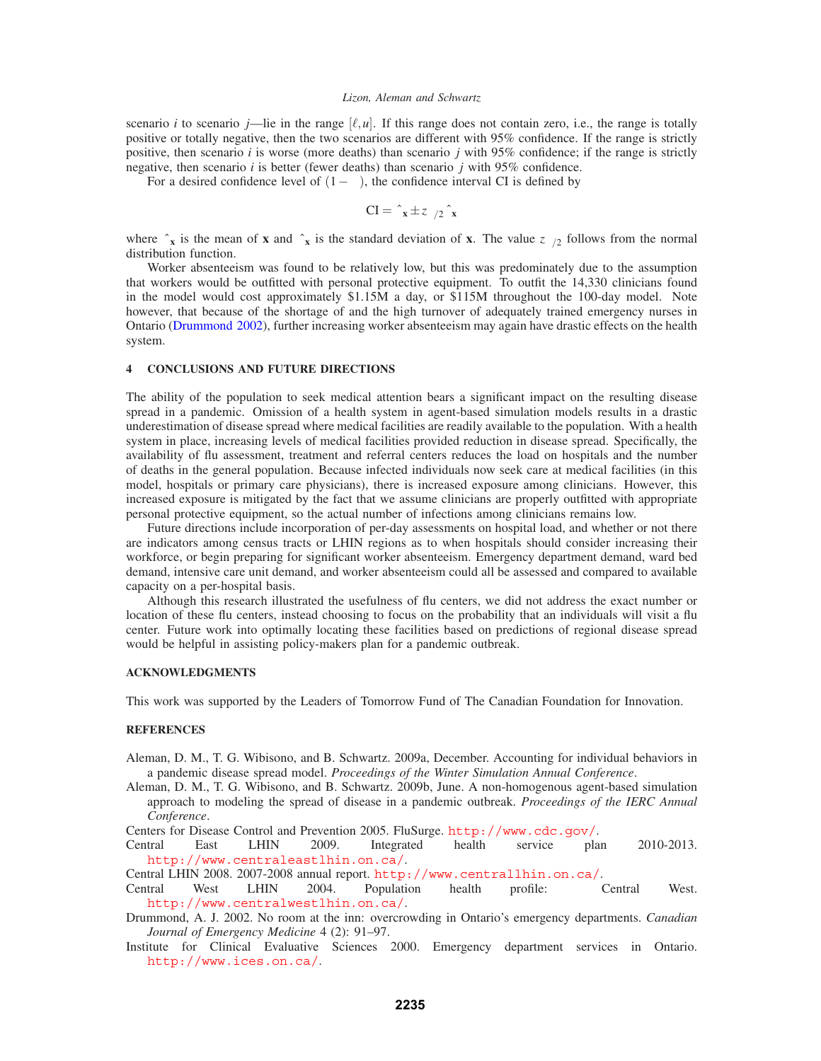scenario *i* to scenario *j*—lie in the range  $[\ell, u]$ . If this range does not contain zero, i.e., the range is totally positive or totally negative, then the two scenarios are different with 95% confidence. If the range is strictly positive, then scenario *i* is worse (more deaths) than scenario *j* with 95% confidence; if the range is strictly negative, then scenario *i* is better (fewer deaths) than scenario *j* with 95% confidence.

For a desired confidence level of  $(1-\alpha)$ , the confidence interval CI is defined by

$$
CI = \hat{\mu}_x \pm z_{\alpha/2} \hat{\sigma}_x
$$

where  $\hat{\mu}_x$  is the mean of **x** and  $\hat{\sigma}_x$  is the standard deviation of **x**. The value  $z_{\alpha/2}$  follows from the normal distribution function.

Worker absenteeism was found to be relatively low, but this was predominately due to the assumption that workers would be outfitted with personal protective equipment. To outfit the 14,330 clinicians found in the model would cost approximately \$1.15M a day, or \$115M throughout the 100-day model. Note however, that because of the shortage of and the high turnover of adequately trained emergency nurses in Ontario (Drummond 2002), further increasing worker absenteeism may again have drastic effects on the health system.

# **4 CONCLUSIONS AND FUTURE DIRECTIONS**

The ability of the population to seek medical attention bears a significant impact on the resulting disease spread in a pandemic. Omission of a health system in agent-based simulation models results in a drastic underestimation of disease spread where medical facilities are readily available to the population. With a health system in place, increasing levels of medical facilities provided reduction in disease spread. Specifically, the availability of flu assessment, treatment and referral centers reduces the load on hospitals and the number of deaths in the general population. Because infected individuals now seek care at medical facilities (in this model, hospitals or primary care physicians), there is increased exposure among clinicians. However, this increased exposure is mitigated by the fact that we assume clinicians are properly outfitted with appropriate personal protective equipment, so the actual number of infections among clinicians remains low.

Future directions include incorporation of per-day assessments on hospital load, and whether or not there are indicators among census tracts or LHIN regions as to when hospitals should consider increasing their workforce, or begin preparing for significant worker absenteeism. Emergency department demand, ward bed demand, intensive care unit demand, and worker absenteeism could all be assessed and compared to available capacity on a per-hospital basis.

Although this research illustrated the usefulness of flu centers, we did not address the exact number or location of these flu centers, instead choosing to focus on the probability that an individuals will visit a flu center. Future work into optimally locating these facilities based on predictions of regional disease spread would be helpful in assisting policy-makers plan for a pandemic outbreak.

### **ACKNOWLEDGMENTS**

This work was supported by the Leaders of Tomorrow Fund of The Canadian Foundation for Innovation.

# **REFERENCES**

- Aleman, D. M., T. G. Wibisono, and B. Schwartz. 2009a, December. Accounting for individual behaviors in a pandemic disease spread model. *Proceedings of the Winter Simulation Annual Conference*.
- Aleman, D. M., T. G. Wibisono, and B. Schwartz. 2009b, June. A non-homogenous agent-based simulation approach to modeling the spread of disease in a pandemic outbreak. *Proceedings of the IERC Annual Conference*.

Centers for Disease Control and Prevention 2005. FluSurge. http://www.cdc.gov/.

Central East LHIN 2009. Integrated health service plan 2010-2013. http://www.centraleastlhin.on.ca/.

Central LHIN 2008. 2007-2008 annual report. http://www.centrallhin.on.ca/.

Central West LHIN 2004. Population health profile: Central West. http://www.centralwestlhin.on.ca/.

Drummond, A. J. 2002. No room at the inn: overcrowding in Ontario's emergency departments. *Canadian Journal of Emergency Medicine* 4 (2): 91–97.

Institute for Clinical Evaluative Sciences 2000. Emergency department services in Ontario. http://www.ices.on.ca/.